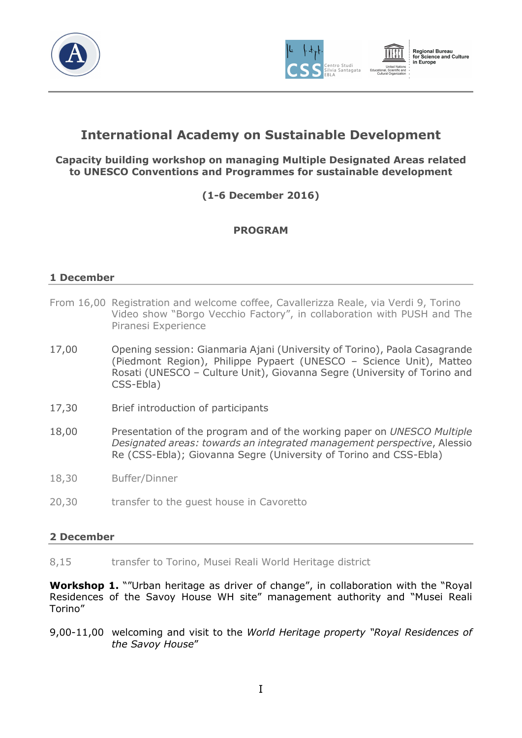





# International Academy on Sustainable Development

# Capacity building workshop on managing Multiple Designated Areas related to UNESCO Conventions and Programmes for sustainable development

(1-6 December 2016)

# PROGRAM

# 1 December

- From 16,00 Registration and welcome coffee, Cavallerizza Reale, via Verdi 9, Torino Video show "Borgo Vecchio Factory", in collaboration with PUSH and The Piranesi Experience
- 17,00 Opening session: Gianmaria Ajani (University of Torino), Paola Casagrande (Piedmont Region), Philippe Pypaert (UNESCO – Science Unit), Matteo Rosati (UNESCO – Culture Unit), Giovanna Segre (University of Torino and CSS-Ebla)
- 17,30 Brief introduction of participants
- 18,00 Presentation of the program and of the working paper on UNESCO Multiple Designated areas: towards an integrated management perspective, Alessio Re (CSS-Ebla); Giovanna Segre (University of Torino and CSS-Ebla)
- 18,30 Buffer/Dinner
- 20,30 transfer to the guest house in Cavoretto

# 2 December

8,15 transfer to Torino, Musei Reali World Heritage district

Workshop 1. ""Urban heritage as driver of change", in collaboration with the "Royal Residences of the Savoy House WH site" management authority and "Musei Reali Torino"

9,00-11,00 welcoming and visit to the World Heritage property "Royal Residences of the Savoy House"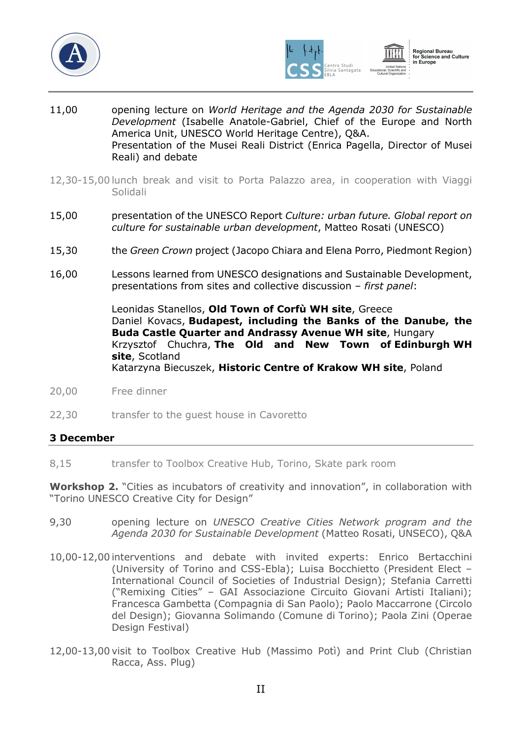





- 11,00 opening lecture on World Heritage and the Agenda 2030 for Sustainable Development (Isabelle Anatole-Gabriel, Chief of the Europe and North America Unit, UNESCO World Heritage Centre), Q&A. Presentation of the Musei Reali District (Enrica Pagella, Director of Musei Reali) and debate
- 12,30-15,00 lunch break and visit to Porta Palazzo area, in cooperation with Viaggi Solidali
- 15,00 presentation of the UNESCO Report Culture: urban future. Global report on culture for sustainable urban development, Matteo Rosati (UNESCO)
- 15,30 the Green Crown project (Jacopo Chiara and Elena Porro, Piedmont Region)
- 16,00 Lessons learned from UNESCO designations and Sustainable Development, presentations from sites and collective discussion – first panel:

 Leonidas Stanellos, Old Town of Corfù WH site, Greece Daniel Kovacs, Budapest, including the Banks of the Danube, the Buda Castle Quarter and Andrassy Avenue WH site, Hungary Krzysztof Chuchra, The Old and New Town of Edinburgh WH site, Scotland Katarzyna Biecuszek, Historic Centre of Krakow WH site, Poland

- 20,00 Free dinner
- 22,30 transfer to the guest house in Cavoretto

#### 3 December

8,15 transfer to Toolbox Creative Hub, Torino, Skate park room

Workshop 2. "Cities as incubators of creativity and innovation", in collaboration with "Torino UNESCO Creative City for Design"

- 9,30 opening lecture on UNESCO Creative Cities Network program and the Agenda 2030 for Sustainable Development (Matteo Rosati, UNSECO), Q&A
- 10,00-12,00 interventions and debate with invited experts: Enrico Bertacchini (University of Torino and CSS-Ebla); Luisa Bocchietto (President Elect – International Council of Societies of Industrial Design); Stefania Carretti ("Remixing Cities" – GAI Associazione Circuito Giovani Artisti Italiani); Francesca Gambetta (Compagnia di San Paolo); Paolo Maccarrone (Circolo del Design); Giovanna Solimando (Comune di Torino); Paola Zini (Operae Design Festival)
- 12,00-13,00 visit to Toolbox Creative Hub (Massimo Potì) and Print Club (Christian Racca, Ass. Plug)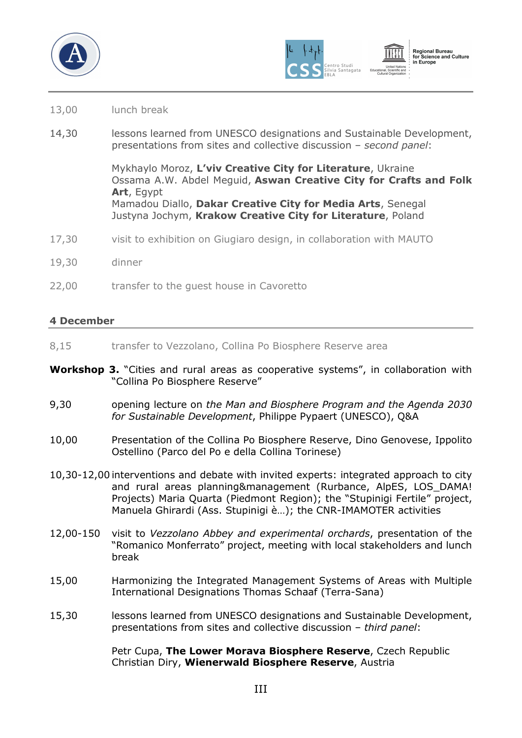





### 13,00 lunch break

14,30 lessons learned from UNESCO designations and Sustainable Development, presentations from sites and collective discussion – second panel:

> Mykhaylo Moroz, L'viv Creative City for Literature, Ukraine Ossama A.W. Abdel Meguid, Aswan Creative City for Crafts and Folk Art, Egypt Mamadou Diallo, Dakar Creative City for Media Arts, Senegal Justyna Jochym, Krakow Creative City for Literature, Poland

- 17,30 visit to exhibition on Giugiaro design, in collaboration with MAUTO
- 19,30 dinner
- 22,00 transfer to the quest house in Cavoretto

#### 4 December

- 8,15 transfer to Vezzolano, Collina Po Biosphere Reserve area
- Workshop 3. "Cities and rural areas as cooperative systems", in collaboration with "Collina Po Biosphere Reserve"
- 9,30 opening lecture on the Man and Biosphere Program and the Agenda 2030 for Sustainable Development, Philippe Pypaert (UNESCO), Q&A
- 10,00 Presentation of the Collina Po Biosphere Reserve, Dino Genovese, Ippolito Ostellino (Parco del Po e della Collina Torinese)
- 10,30-12,00 interventions and debate with invited experts: integrated approach to city and rural areas planning&management (Rurbance, AlpES, LOS\_DAMA! Projects) Maria Quarta (Piedmont Region); the "Stupinigi Fertile" project, Manuela Ghirardi (Ass. Stupinigi è…); the CNR-IMAMOTER activities
- 12,00-150 visit to Vezzolano Abbey and experimental orchards, presentation of the "Romanico Monferrato" project, meeting with local stakeholders and lunch break
- 15,00 Harmonizing the Integrated Management Systems of Areas with Multiple International Designations Thomas Schaaf (Terra-Sana)
- 15,30 lessons learned from UNESCO designations and Sustainable Development, presentations from sites and collective discussion – third panel:

Petr Cupa, The Lower Morava Biosphere Reserve, Czech Republic Christian Diry, Wienerwald Biosphere Reserve, Austria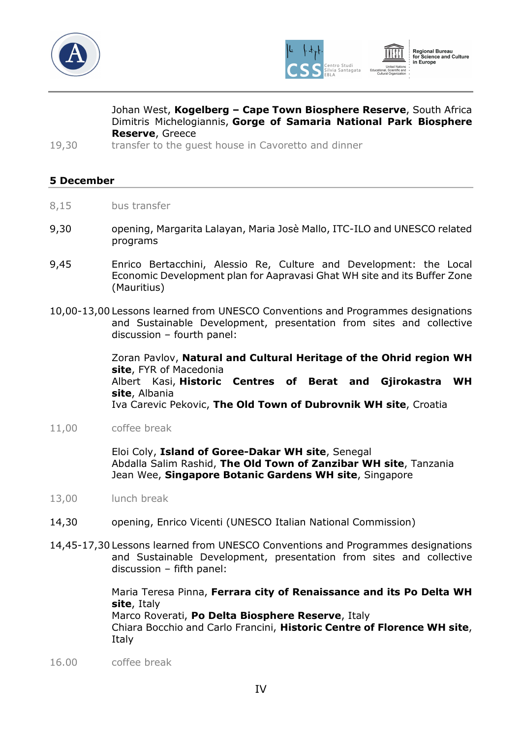



Regional Bureau<br>for Science and Culture in Europe

Johan West, Kogelberg - Cape Town Biosphere Reserve, South Africa Dimitris Michelogiannis, Gorge of Samaria National Park Biosphere Reserve, Greece

19,30 transfer to the guest house in Cavoretto and dinner

### 5 December

- 8,15 bus transfer
- 9,30 opening, Margarita Lalayan, Maria Josè Mallo, ITC-ILO and UNESCO related programs
- 9,45 Enrico Bertacchini, Alessio Re, Culture and Development: the Local Economic Development plan for Aapravasi Ghat WH site and its Buffer Zone (Mauritius)
- 10,00-13,00 Lessons learned from UNESCO Conventions and Programmes designations and Sustainable Development, presentation from sites and collective discussion – fourth panel:

 Zoran Pavlov, Natural and Cultural Heritage of the Ohrid region WH site, FYR of Macedonia Albert Kasi, Historic Centres of Berat and Gjirokastra WH site, Albania Iva Carevic Pekovic, The Old Town of Dubrovnik WH site, Croatia

11,00 coffee break

Eloi Coly, Island of Goree-Dakar WH site, Senegal Abdalla Salim Rashid, The Old Town of Zanzibar WH site, Tanzania Jean Wee, Singapore Botanic Gardens WH site, Singapore

- 13,00 lunch break
- 14,30 opening, Enrico Vicenti (UNESCO Italian National Commission)
- 14,45-17,30 Lessons learned from UNESCO Conventions and Programmes designations and Sustainable Development, presentation from sites and collective discussion – fifth panel:

 Maria Teresa Pinna, Ferrara city of Renaissance and its Po Delta WH site, Italy Marco Roverati, Po Delta Biosphere Reserve, Italy Chiara Bocchio and Carlo Francini, Historic Centre of Florence WH site, Italy

16.00 coffee break